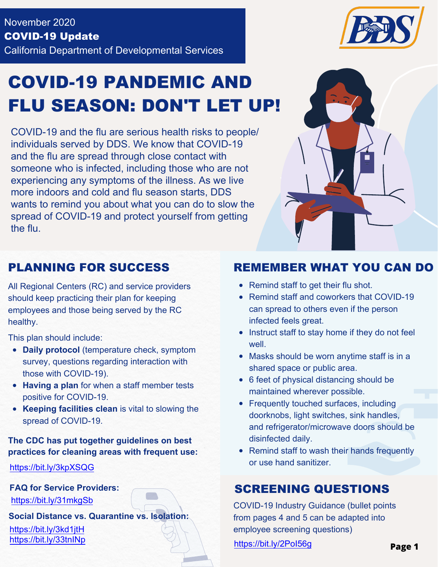

# COVID-19 PANDEMIC AND FLU SEASON: DON'T LET UP!

COVID-19 and the flu are serious health risks to people/ individuals served by DDS. We know that COVID-19 and the flu are spread through close contact with someone who is infected, including those who are not experiencing any symptoms of the illness. As we live more indoors and cold and flu season starts, DDS wants to remind you about what you can do to slow the spread of COVID-19 and protect yourself from getting the flu.



All Regional Centers (RC) and service providers should keep practicing their plan for keeping employees and those being served by the RC healthy.

This plan should include:

- **Daily protocol** (temperature check, symptom survey, questions regarding interaction with those with COVID-19).
- **Having a plan** for when a staff member tests positive for COVID-19.
- **Keeping facilities clean** is vital to slowing the spread of COVID-19.

**The CDC has put together guidelines on best practices for cleaning areas with frequent use:**

https://bit.ly/3kpXSQG

**FAQ for Service Providers:**

https://bit.ly/31mkgSb

**Social Distance vs. Quarantine vs. Isolation:**

#### PLANNING FOR SUCCESS REMEMBER WHAT YOU CAN DO

- Remind staff to get their flu shot.
- Remind staff and coworkers that COVID-19 can spread to others even if the person infected feels great.
- Instruct staff to stay home if they do not feel well.
- Masks should be worn anytime staff is in a shared space or public area.
- 6 feet of physical distancing should be maintained wherever possible.
- Frequently touched surfaces, including doorknobs, light switches, sink handles, and refrigerator/microwave doors should be disinfected daily.
- Remind staff to wash their hands frequently or use hand sanitizer.

#### SCREENING QUESTIONS

COVID-19 Industry Guidance (bullet points from pages 4 and 5 can be adapted into https://bit.ly/3kd1jtH employee screening questions) https://bit.ly/33tnINp https://bit.ly/2PoI56g **Page <sup>1</sup>**